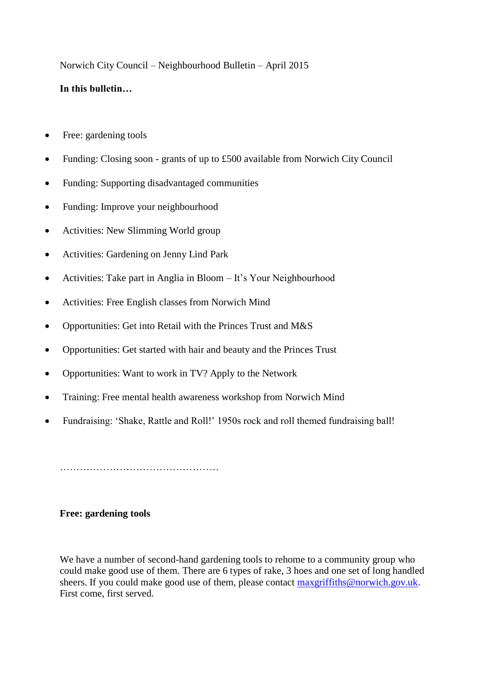Norwich City Council – Neighbourhood Bulletin – April 2015

# **In this bulletin…**

- Free: gardening tools
- Funding: Closing soon grants of up to £500 available from Norwich City Council
- Funding: Supporting disadvantaged communities
- Funding: Improve your neighbourhood
- Activities: New Slimming World group
- Activities: Gardening on Jenny Lind Park
- Activities: Take part in Anglia in Bloom It's Your Neighbourhood
- Activities: Free English classes from Norwich Mind
- Opportunities: Get into Retail with the Princes Trust and M&S
- Opportunities: Get started with hair and beauty and the Princes Trust
- Opportunities: Want to work in TV? Apply to the Network
- Training: Free mental health awareness workshop from Norwich Mind
- Fundraising: 'Shake, Rattle and Roll!' 1950s rock and roll themed fundraising ball!

…………………………………………

### **Free: gardening tools**

We have a number of second-hand gardening tools to rehome to a community group who could make good use of them. There are 6 types of rake, 3 hoes and one set of long handled sheers. If you could make good use of them, please contact [maxgriffiths@norwich.gov.uk.](mailto:maxgriffiths@norwich.gov.uk) First come, first served.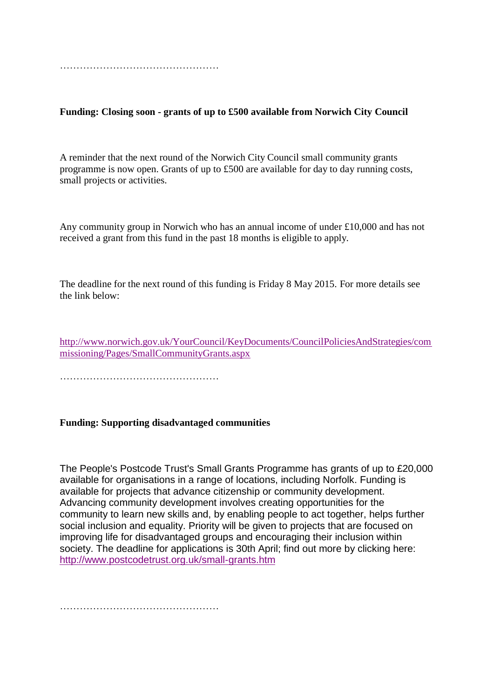**Funding: Closing soon - grants of up to £500 available from Norwich City Council**

A reminder that the next round of the Norwich City Council small community grants programme is now open. Grants of up to £500 are available for day to day running costs, small projects or activities.

Any community group in Norwich who has an annual income of under £10,000 and has not received a grant from this fund in the past 18 months is eligible to apply.

The deadline for the next round of this funding is Friday 8 May 2015. For more details see the link below:

[http://www.norwich.gov.uk/YourCouncil/KeyDocuments/CouncilPoliciesAndStrategies/com](http://www.norwich.gov.uk/YourCouncil/KeyDocuments/CouncilPoliciesAndStrategies/commissioning/Pages/SmallCommunityGrants.aspx) [missioning/Pages/SmallCommunityGrants.aspx](http://www.norwich.gov.uk/YourCouncil/KeyDocuments/CouncilPoliciesAndStrategies/commissioning/Pages/SmallCommunityGrants.aspx)

…………………………………………

### **Funding: Supporting disadvantaged communities**

The People's Postcode Trust's Small Grants Programme has grants of up to £20,000 available for organisations in a range of locations, including Norfolk. Funding is available for projects that advance citizenship or community development. Advancing community development involves creating opportunities for the community to learn new skills and, by enabling people to act together, helps further social inclusion and equality. Priority will be given to projects that are focused on improving life for disadvantaged groups and encouraging their inclusion within society. The deadline for applications is 30th April; find out more by clicking here: <http://www.postcodetrust.org.uk/small-grants.htm>

…………………………………………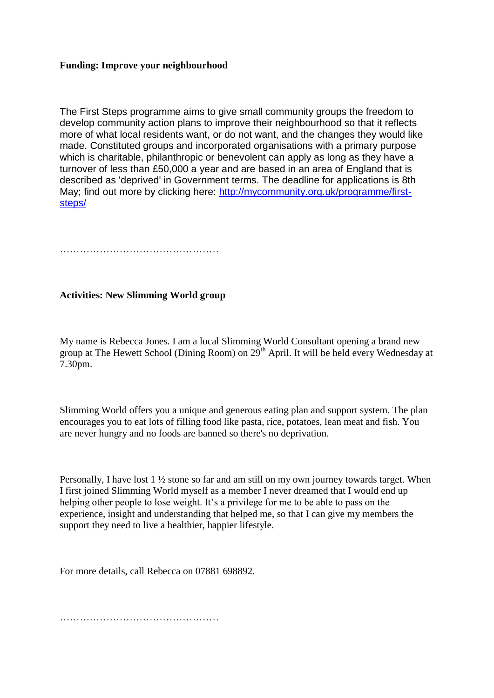## **Funding: Improve your neighbourhood**

The First Steps programme aims to give small community groups the freedom to develop community action plans to improve their neighbourhood so that it reflects more of what local residents want, or do not want, and the changes they would like made. Constituted groups and incorporated organisations with a primary purpose which is charitable, philanthropic or benevolent can apply as long as they have a turnover of less than £50,000 a year and are based in an area of England that is described as 'deprived' in Government terms. The deadline for applications is 8th May; find out more by clicking here: [http://mycommunity.org.uk/programme/first](http://mycommunity.org.uk/programme/first-steps/)[steps/](http://mycommunity.org.uk/programme/first-steps/)

…………………………………………

## **Activities: New Slimming World group**

My name is Rebecca Jones. I am a local Slimming World Consultant opening a brand new group at The Hewett School (Dining Room) on  $29<sup>th</sup>$  April. It will be held every Wednesday at 7.30pm.

Slimming World offers you a unique and generous eating plan and support system. The plan encourages you to eat lots of filling food like pasta, rice, potatoes, lean meat and fish. You are never hungry and no foods are banned so there's no deprivation.

Personally, I have lost 1 ½ stone so far and am still on my own journey towards target. When I first joined Slimming World myself as a member I never dreamed that I would end up helping other people to lose weight. It's a privilege for me to be able to pass on the experience, insight and understanding that helped me, so that I can give my members the support they need to live a healthier, happier lifestyle.

For more details, call Rebecca on 07881 698892.

…………………………………………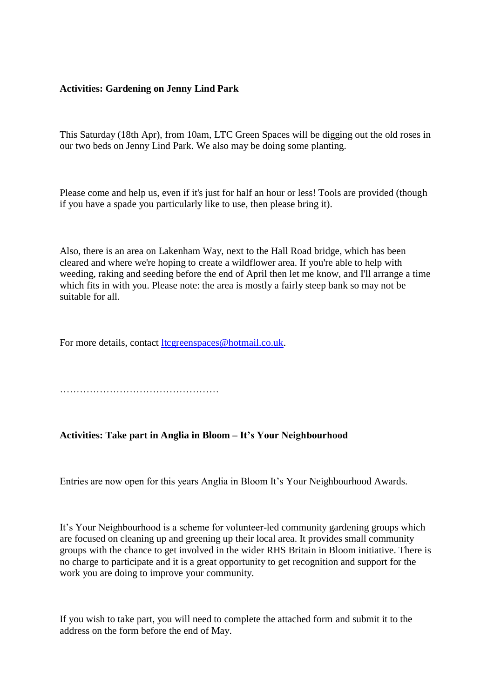#### **Activities: Gardening on Jenny Lind Park**

This Saturday (18th Apr), from 10am, LTC Green Spaces will be digging out the old roses in our two beds on Jenny Lind Park. We also may be doing some planting.

Please come and help us, even if it's just for half an hour or less! Tools are provided (though if you have a spade you particularly like to use, then please bring it).

Also, there is an area on Lakenham Way, next to the Hall Road bridge, which has been cleared and where we're hoping to create a wildflower area. If you're able to help with weeding, raking and seeding before the end of April then let me know, and I'll arrange a time which fits in with you. Please note: the area is mostly a fairly steep bank so may not be suitable for all.

For more details, contact [ltcgreenspaces@hotmail.co.uk.](mailto:ltcgreenspaces@hotmail.co.uk)

…………………………………………

#### **Activities: Take part in Anglia in Bloom – It's Your Neighbourhood**

Entries are now open for this years Anglia in Bloom It's Your Neighbourhood Awards.

It's Your Neighbourhood is a scheme for volunteer-led community gardening groups which are focused on cleaning up and greening up their local area. It provides small community groups with the chance to get involved in the wider RHS Britain in Bloom initiative. There is no charge to participate and it is a great opportunity to get recognition and support for the work you are doing to improve your community.

If you wish to take part, you will need to complete the attached form and submit it to the address on the form before the end of May.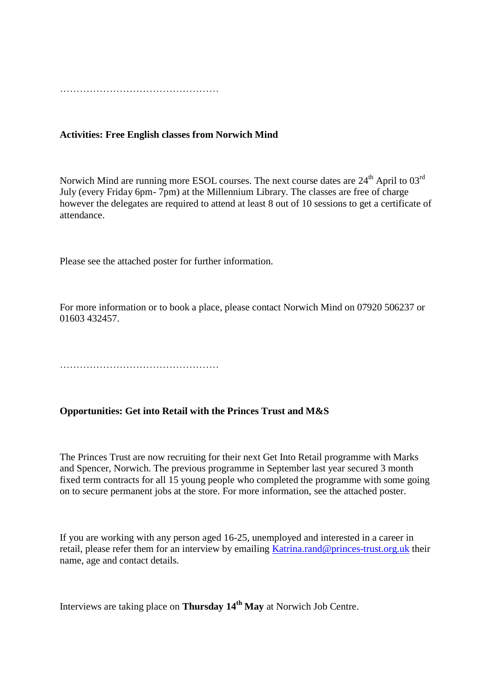### **Activities: Free English classes from Norwich Mind**

Norwich Mind are running more ESOL courses. The next course dates are  $24<sup>th</sup>$  April to  $03<sup>rd</sup>$ July (every Friday 6pm- 7pm) at the Millennium Library. The classes are free of charge however the delegates are required to attend at least 8 out of 10 sessions to get a certificate of attendance.

Please see the attached poster for further information.

For more information or to book a place, please contact Norwich Mind on 07920 506237 or 01603 432457.

…………………………………………

#### **Opportunities: Get into Retail with the Princes Trust and M&S**

The Princes Trust are now recruiting for their next Get Into Retail programme with Marks and Spencer, Norwich. The previous programme in September last year secured 3 month fixed term contracts for all 15 young people who completed the programme with some going on to secure permanent jobs at the store. For more information, see the attached poster.

If you are working with any person aged 16-25, unemployed and interested in a career in retail, please refer them for an interview by emailing [Katrina.rand@princes-trust.org.uk](mailto:Katrina.rand@princes-trust.org.uk) their name, age and contact details.

Interviews are taking place on **Thursday 14th May** at Norwich Job Centre.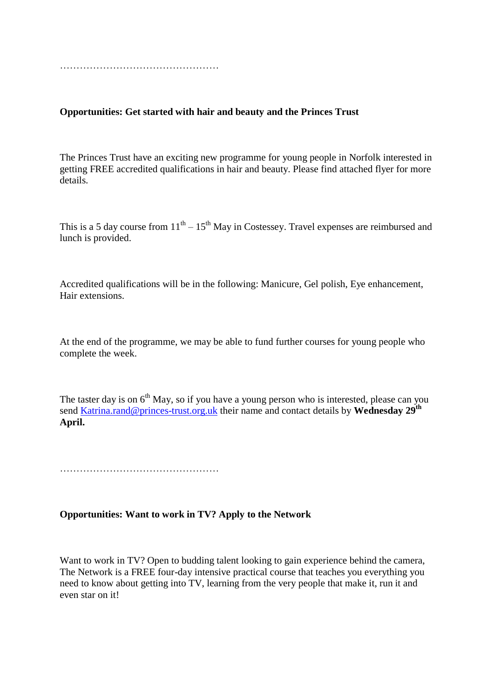## **Opportunities: Get started with hair and beauty and the Princes Trust**

The Princes Trust have an exciting new programme for young people in Norfolk interested in getting FREE accredited qualifications in hair and beauty. Please find attached flyer for more details.

This is a 5 day course from  $11<sup>th</sup> - 15<sup>th</sup>$  May in Costessey. Travel expenses are reimbursed and lunch is provided.

Accredited qualifications will be in the following: Manicure, Gel polish, Eye enhancement, Hair extensions.

At the end of the programme, we may be able to fund further courses for young people who complete the week.

The taster day is on  $6<sup>th</sup>$  May, so if you have a young person who is interested, please can you send [Katrina.rand@princes-trust.org.uk](mailto:Katrina.rand@princes-trust.org.uk) their name and contact details by **Wednesday 29th April.**

…………………………………………

### **Opportunities: Want to work in TV? Apply to the Network**

Want to work in TV? Open to budding talent looking to gain experience behind the camera, The Network is a FREE four-day intensive practical course that teaches you everything you need to know about getting into TV, learning from the very people that make it, run it and even star on it!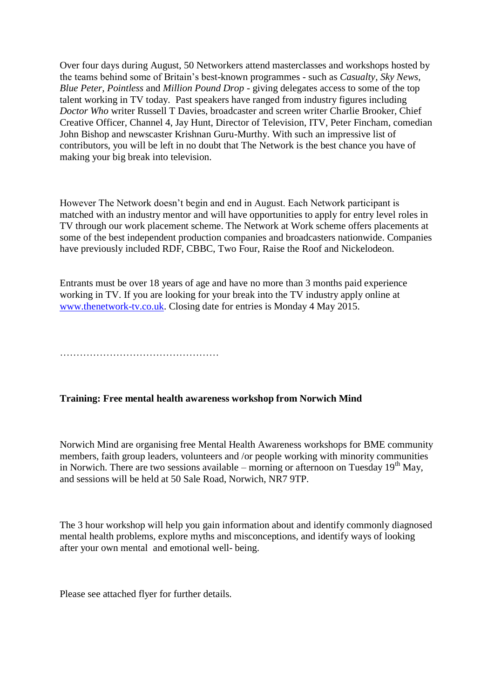Over four days during August, 50 Networkers attend masterclasses and workshops hosted by the teams behind some of Britain's best-known programmes - such as *Casualty, Sky News, Blue Peter, Pointless* and *Million Pound Drop* - giving delegates access to some of the top talent working in TV today. Past speakers have ranged from industry figures including *Doctor Who* writer Russell T Davies, broadcaster and screen writer Charlie Brooker, Chief Creative Officer, Channel 4, Jay Hunt, Director of Television, ITV, Peter Fincham, comedian John Bishop and newscaster Krishnan Guru-Murthy. With such an impressive list of contributors, you will be left in no doubt that The Network is the best chance you have of making your big break into television.

However The Network doesn't begin and end in August. Each Network participant is matched with an industry mentor and will have opportunities to apply for entry level roles in TV through our work placement scheme. The Network at Work scheme offers placements at some of the best independent production companies and broadcasters nationwide. Companies have previously included RDF, CBBC, Two Four, Raise the Roof and Nickelodeon.

Entrants must be over 18 years of age and have no more than 3 months paid experience working in TV. If you are looking for your break into the TV industry apply online at [www.thenetwork-tv.co.uk.](http://www.thenetwork-tv.co.uk/) Closing date for entries is Monday 4 May 2015.

…………………………………………

# **Training: Free mental health awareness workshop from Norwich Mind**

Norwich Mind are organising free Mental Health Awareness workshops for BME community members, faith group leaders, volunteers and /or people working with minority communities in Norwich. There are two sessions available – morning or afternoon on Tuesday  $19<sup>th</sup>$  May, and sessions will be held at 50 Sale Road, Norwich, NR7 9TP.

The 3 hour workshop will help you gain information about and identify commonly diagnosed mental health problems, explore myths and misconceptions, and identify ways of looking after your own mental and emotional well- being.

Please see attached flyer for further details.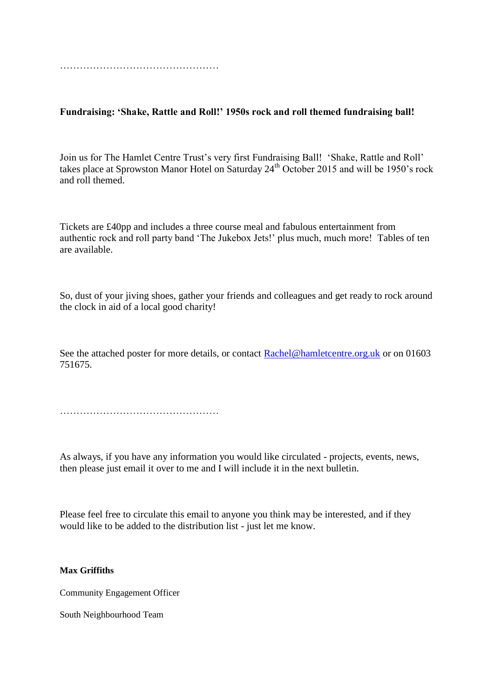**Fundraising: 'Shake, Rattle and Roll!' 1950s rock and roll themed fundraising ball!**

Join us for The Hamlet Centre Trust's very first Fundraising Ball! 'Shake, Rattle and Roll' takes place at Sprowston Manor Hotel on Saturday  $24<sup>th</sup>$  October 2015 and will be 1950's rock and roll themed.

Tickets are £40pp and includes a three course meal and fabulous entertainment from authentic rock and roll party band 'The Jukebox Jets!' plus much, much more! Tables of ten are available.

So, dust of your jiving shoes, gather your friends and colleagues and get ready to rock around the clock in aid of a local good charity!

See the attached poster for more details, or contact [Rachel@hamletcentre.org.uk](mailto:Rachel@hamletcentre.org.uk) or on 01603 751675.

…………………………………………

As always, if you have any information you would like circulated - projects, events, news, then please just email it over to me and I will include it in the next bulletin.

Please feel free to circulate this email to anyone you think may be interested, and if they would like to be added to the distribution list - just let me know.

#### **Max Griffiths**

Community Engagement Officer

South Neighbourhood Team